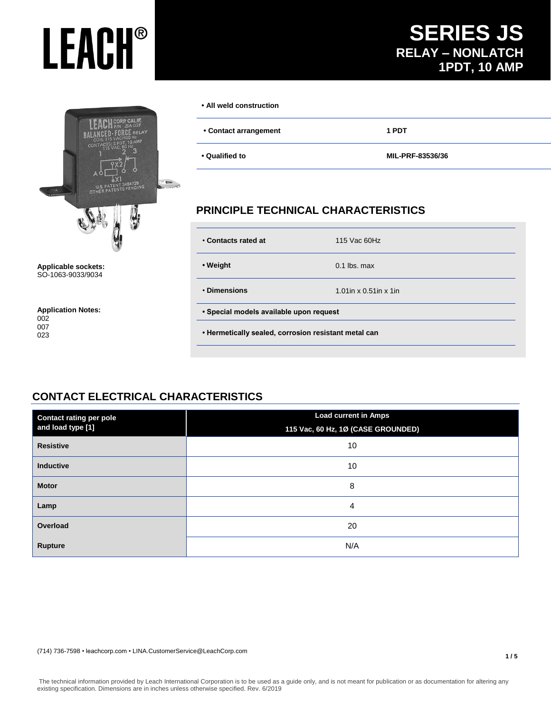## **SERIES JS RELAY – NONLATCH 1PDT, 10 AMP**



**Applicable sockets:** SO-1063-9033/9034

**Application Notes:** 002 007 023

#### **• All weld construction**

| • Contact arrangement | 1 PDT |  |
|-----------------------|-------|--|
|                       |       |  |

**• Qualified to MIL-PRF-83536/36**

## **PRINCIPLE TECHNICAL CHARACTERISTICS**

| . Contacts rated at                                  | 115 Vac 60Hz                 |  |  |
|------------------------------------------------------|------------------------------|--|--|
| • Weight                                             | $0.1$ lbs. max               |  |  |
| • Dimensions                                         | 1.01 in $x$ 0.51 in $x$ 1 in |  |  |
| • Special models available upon request              |                              |  |  |
| • Hermetically sealed, corrosion resistant metal can |                              |  |  |
|                                                      |                              |  |  |

## **CONTACT ELECTRICAL CHARACTERISTICS**

| <b>Contact rating per pole</b> | <b>Load current in Amps</b>        |  |  |
|--------------------------------|------------------------------------|--|--|
| and load type [1]              | 115 Vac, 60 Hz, 1Ø (CASE GROUNDED) |  |  |
| <b>Resistive</b>               | 10                                 |  |  |
| Inductive                      | 10                                 |  |  |
| <b>Motor</b>                   | 8                                  |  |  |
| Lamp                           | 4                                  |  |  |
| Overload                       | 20                                 |  |  |
| <b>Rupture</b>                 | N/A                                |  |  |

(714) 736-7598 • leachcorp.com • LINA.CustomerService@LeachCorp.com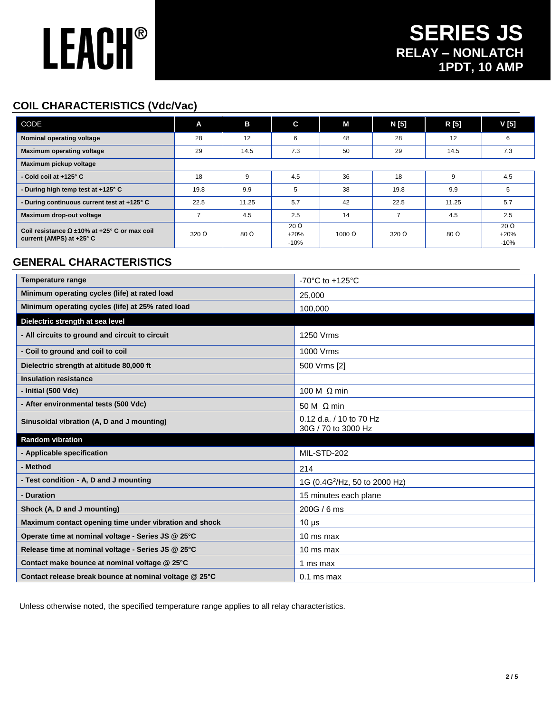## **COIL CHARACTERISTICS (Vdc/Vac)**

| CODE                                                                                       | A            | в            | C                               | М      | N [5]        | R [5]        | V <sub>[5]</sub>                |
|--------------------------------------------------------------------------------------------|--------------|--------------|---------------------------------|--------|--------------|--------------|---------------------------------|
| Nominal operating voltage                                                                  | 28           | 12           | 6                               | 48     | 28           | 12           | 6                               |
| <b>Maximum operating voltage</b>                                                           | 29           | 14.5         | 7.3                             | 50     | 29           | 14.5         | 7.3                             |
| Maximum pickup voltage                                                                     |              |              |                                 |        |              |              |                                 |
| - Cold coil at +125° C                                                                     | 18           | 9            | 4.5                             | 36     | 18           | 9            | 4.5                             |
| - During high temp test at +125° C                                                         | 19.8         | 9.9          | 5                               | 38     | 19.8         | 9.9          | 5                               |
| - During continuous current test at +125° C                                                | 22.5         | 11.25        | 5.7                             | 42     | 22.5         | 11.25        | 5.7                             |
| Maximum drop-out voltage                                                                   | 7            | 4.5          | 2.5                             | 14     |              | 4.5          | 2.5                             |
| Coil resistance $\Omega \pm 10\%$ at +25° C or max coil<br>current (AMPS) at $+25^\circ$ C | $320 \Omega$ | $80\ \Omega$ | $20 \Omega$<br>$+20%$<br>$-10%$ | 1000 Ω | $320 \Omega$ | $80\ \Omega$ | 20 $\Omega$<br>$+20%$<br>$-10%$ |

## **GENERAL CHARACTERISTICS**

| <b>Temperature range</b>                               | -70 $^{\circ}$ C to +125 $^{\circ}$ C          |  |  |  |
|--------------------------------------------------------|------------------------------------------------|--|--|--|
| Minimum operating cycles (life) at rated load          | 25,000                                         |  |  |  |
| Minimum operating cycles (life) at 25% rated load      | 100,000                                        |  |  |  |
| Dielectric strength at sea level                       |                                                |  |  |  |
| - All circuits to ground and circuit to circuit        | 1250 Vrms                                      |  |  |  |
| - Coil to ground and coil to coil                      | 1000 Vrms                                      |  |  |  |
| Dielectric strength at altitude 80,000 ft              | 500 Vrms [2]                                   |  |  |  |
| <b>Insulation resistance</b>                           |                                                |  |  |  |
| - Initial (500 Vdc)                                    | 100 M $\Omega$ min                             |  |  |  |
| - After environmental tests (500 Vdc)                  | 50 M $\Omega$ min                              |  |  |  |
| Sinusoidal vibration (A, D and J mounting)             | 0.12 d.a. / 10 to 70 Hz<br>30G / 70 to 3000 Hz |  |  |  |
| <b>Random vibration</b>                                |                                                |  |  |  |
| - Applicable specification                             | MIL-STD-202                                    |  |  |  |
| - Method                                               | 214                                            |  |  |  |
| - Test condition - A, D and J mounting                 | 1G (0.4G <sup>2</sup> /Hz, 50 to 2000 Hz)      |  |  |  |
| - Duration                                             | 15 minutes each plane                          |  |  |  |
| Shock (A, D and J mounting)                            | 200G / 6 ms                                    |  |  |  |
| Maximum contact opening time under vibration and shock | $10 \mu s$                                     |  |  |  |
| Operate time at nominal voltage - Series JS @ 25°C     | 10 ms max                                      |  |  |  |
| Release time at nominal voltage - Series JS @ 25°C     | 10 ms max                                      |  |  |  |
| Contact make bounce at nominal voltage @ 25°C          | 1 ms max                                       |  |  |  |
| Contact release break bounce at nominal voltage @ 25°C | $0.1$ ms max                                   |  |  |  |

Unless otherwise noted, the specified temperature range applies to all relay characteristics.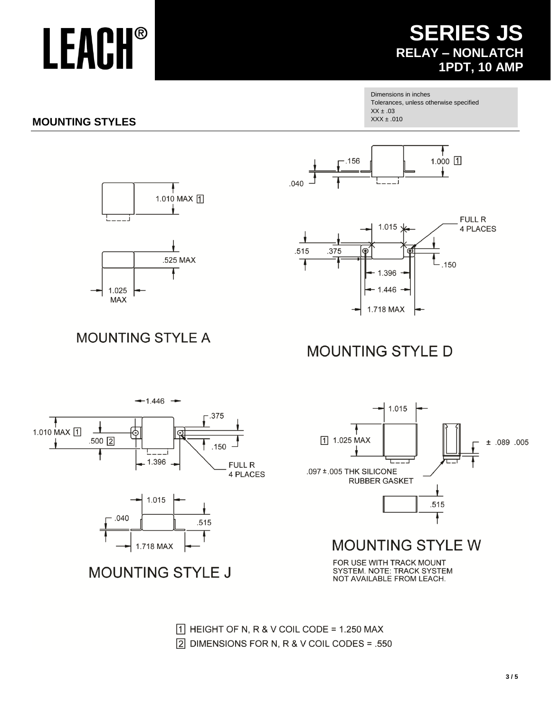## **SERIES JS RELAY - NONLATCH 1PDT, 10 AMP**

Dimensions in inches Tolerances, unless otherwise specified  $XX \pm .03$  $XXX \pm .010$ 

## **MOUNTING STYLES**







**MOUNTING STYLE A** 

## **MOUNTING STYLE D**





# **MOUNTING STYLE J**

 $\boxed{1}$  HEIGHT OF N, R & V COIL CODE = 1.250 MAX  $\boxed{2}$  DIMENSIONS FOR N, R & V COIL CODES = .550





## MOUNTING STYLE W

FOR USE WITH TRACK MOUNT SYSTEM. NOTE: TRACK SYSTEM<br>NOT AVAILABLE FROM LEACH.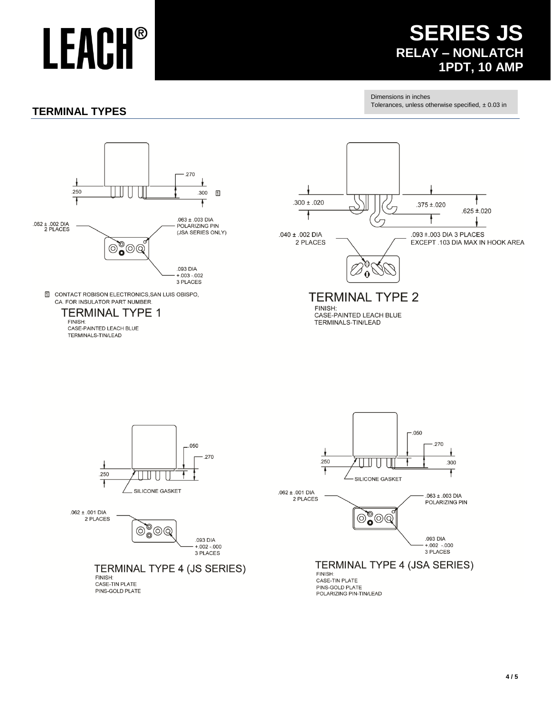## **SERIES JS RELAY – NONLATCH 1PDT, 10 AMP**

### **TERMINAL TYPES**

Dimensions in inches Tolerances, unless otherwise specified,  $\pm$  0.03 in